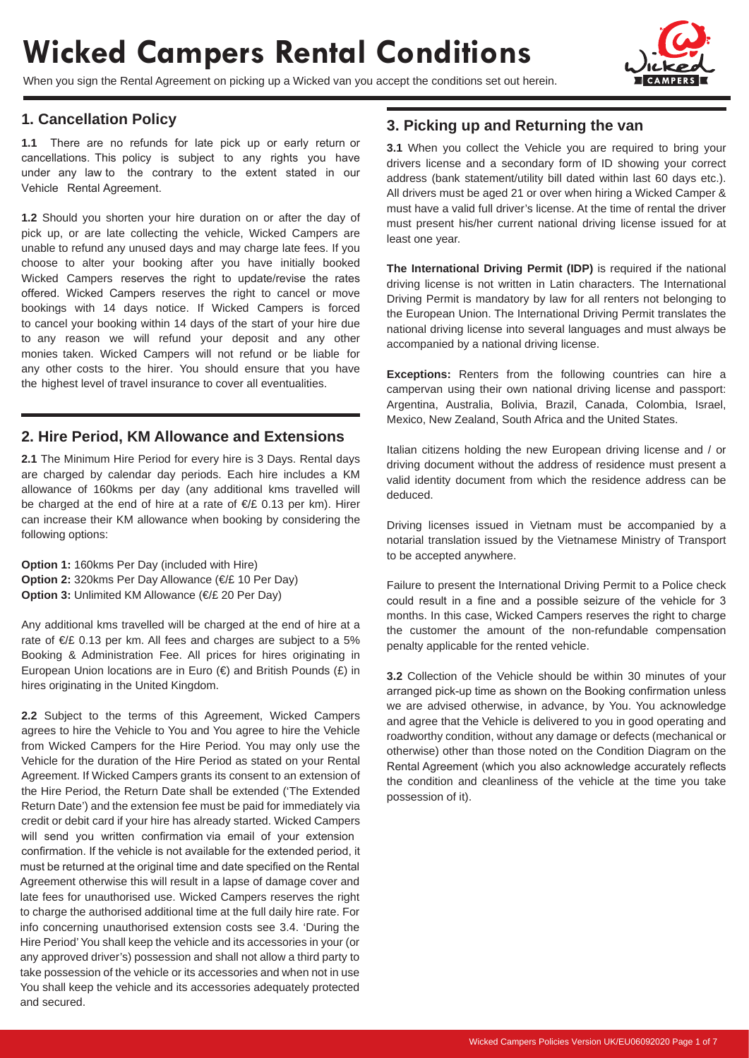# **Wicked Campers Rental Conditions**

When you sign the Rental Agreement on picking up a Wicked van you accept the conditions set out herein.



#### **1. Cancellation Policy**

**1.1** There are no refunds for late pick up or early return or cancellations. This policy is subject to any rights you have under any law to the contrary to the extent stated in our Vehicle Rental Agreement.

**1.2** Should you shorten your hire duration on or after the day of pick up, or are late collecting the vehicle, Wicked Campers are unable to refund any unused days and may charge late fees. If you choose to alter your booking after you have initially booked Wicked Campers reserves the right to update/revise the rates offered. Wicked Campers reserves the right to cancel or move bookings with 14 days notice. If Wicked Campers is forced to cancel your booking within 14 days of the start of your hire due to any reason we will refund your deposit and any other monies taken. Wicked Campers will not refund or be liable for any other costs to the hirer. You should ensure that you have the highest level of travel insurance to cover all eventualities.

#### **2. Hire Period, KM Allowance and Extensions**

**2.1** The Minimum Hire Period for every hire is 3 Days. Rental days are charged by calendar day periods. Each hire includes a KM allowance of 160kms per day (any additional kms travelled will be charged at the end of hire at a rate of €/£ 0.13 per km). Hirer can increase their KM allowance when booking by considering the following options:

**Option 1:** 160kms Per Day (included with Hire) **Option 2:** 320kms Per Day Allowance (€/£ 10 Per Day) **Option 3:** Unlimited KM Allowance (€/£ 20 Per Day)

Any additional kms travelled will be charged at the end of hire at a rate of €/£ 0.13 per km. All fees and charges are subject to a 5% Booking & Administration Fee. All prices for hires originating in European Union locations are in Euro  $(\epsilon)$  and British Pounds  $(\epsilon)$  in hires originating in the United Kingdom.

**2.2** Subject to the terms of this Agreement, Wicked Campers agrees to hire the Vehicle to You and You agree to hire the Vehicle from Wicked Campers for the Hire Period. You may only use the Vehicle for the duration of the Hire Period as stated on your Rental Agreement. If Wicked Campers grants its consent to an extension of the Hire Period, the Return Date shall be extended ('The Extended Return Date') and the extension fee must be paid for immediately via credit or debit card if your hire has already started. Wicked Campers will send you written confirmation via email of your extension confirmation. If the vehicle is not available for the extended period, it must be returned at the original time and date specified on the Rental Agreement otherwise this will result in a lapse of damage cover and late fees for unauthorised use. Wicked Campers reserves the right to charge the authorised additional time at the full daily hire rate. For info concerning unauthorised extension costs see 3.4. 'During the Hire Period' You shall keep the vehicle and its accessories in your (or any approved driver's) possession and shall not allow a third party to take possession of the vehicle or its accessories and when not in use You shall keep the vehicle and its accessories adequately protected and secured.

#### **3. Picking up and Returning the van**

**3.1** When you collect the Vehicle you are required to bring your drivers license and a secondary form of ID showing your correct address (bank statement/utility bill dated within last 60 days etc.). All drivers must be aged 21 or over when hiring a Wicked Camper & must have a valid full driver's license. At the time of rental the driver must present his/her current national driving license issued for at least one year.

**The International Driving Permit (IDP)** is required if the national driving license is not written in Latin characters. The International Driving Permit is mandatory by law for all renters not belonging to the European Union. The International Driving Permit translates the national driving license into several languages and must always be accompanied by a national driving license.

**Exceptions:** Renters from the following countries can hire a campervan using their own national driving license and passport: Argentina, Australia, Bolivia, Brazil, Canada, Colombia, Israel, Mexico, New Zealand, South Africa and the United States.

Italian citizens holding the new European driving license and / or driving document without the address of residence must present a valid identity document from which the residence address can be deduced.

Driving licenses issued in Vietnam must be accompanied by a notarial translation issued by the Vietnamese Ministry of Transport to be accepted anywhere.

Failure to present the International Driving Permit to a Police check could result in a fine and a possible seizure of the vehicle for 3 months. In this case, Wicked Campers reserves the right to charge the customer the amount of the non-refundable compensation penalty applicable for the rented vehicle.

**3.2** Collection of the Vehicle should be within 30 minutes of your arranged pick-up time as shown on the Booking confirmation unless we are advised otherwise, in advance, by You. You acknowledge and agree that the Vehicle is delivered to you in good operating and roadworthy condition, without any damage or defects (mechanical or otherwise) other than those noted on the Condition Diagram on the Rental Agreement (which you also acknowledge accurately reflects the condition and cleanliness of the vehicle at the time you take possession of it).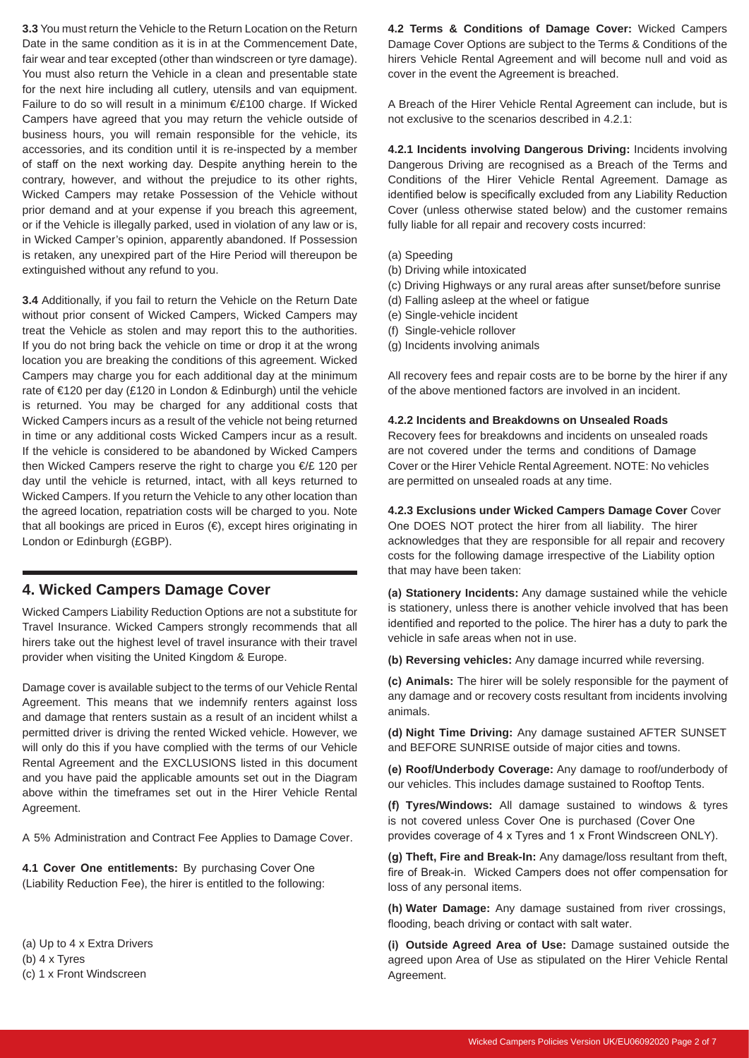**3.3** You must return the Vehicle to the Return Location on the Return Date in the same condition as it is in at the Commencement Date, fair wear and tear excepted (other than windscreen or tyre damage). You must also return the Vehicle in a clean and presentable state for the next hire including all cutlery, utensils and van equipment. Failure to do so will result in a minimum €/£100 charge. If Wicked Campers have agreed that you may return the vehicle outside of business hours, you will remain responsible for the vehicle, its accessories, and its condition until it is re-inspected by a member of staff on the next working day. Despite anything herein to the contrary, however, and without the prejudice to its other rights, Wicked Campers may retake Possession of the Vehicle without prior demand and at your expense if you breach this agreement, or if the Vehicle is illegally parked, used in violation of any law or is, in Wicked Camper's opinion, apparently abandoned. If Possession is retaken, any unexpired part of the Hire Period will thereupon be extinguished without any refund to you.

**3.4** Additionally, if you fail to return the Vehicle on the Return Date without prior consent of Wicked Campers, Wicked Campers may treat the Vehicle as stolen and may report this to the authorities. If you do not bring back the vehicle on time or drop it at the wrong location you are breaking the conditions of this agreement. Wicked Campers may charge you for each additional day at the minimum rate of €120 per day (£120 in London & Edinburgh) until the vehicle is returned. You may be charged for any additional costs that Wicked Campers incurs as a result of the vehicle not being returned in time or any additional costs Wicked Campers incur as a result. If the vehicle is considered to be abandoned by Wicked Campers then Wicked Campers reserve the right to charge you €/£ 120 per day until the vehicle is returned, intact, with all keys returned to Wicked Campers. If you return the Vehicle to any other location than the agreed location, repatriation costs will be charged to you. Note that all bookings are priced in Euros (€), except hires originating in London or Edinburgh (£GBP).

#### **4. Wicked Campers Damage Cover**

Wicked Campers Liability Reduction Options are not a substitute for Travel Insurance. Wicked Campers strongly recommends that all hirers take out the highest level of travel insurance with their travel provider when visiting the United Kingdom & Europe.

Damage cover is available subject to the terms of our Vehicle Rental Agreement. This means that we indemnify renters against loss and damage that renters sustain as a result of an incident whilst a permitted driver is driving the rented Wicked vehicle. However, we will only do this if you have complied with the terms of our Vehicle Rental Agreement and the EXCLUSIONS listed in this document and you have paid the applicable amounts set out in the Diagram above within the timeframes set out in the Hirer Vehicle Rental Agreement.

A 5% Administration and Contract Fee Applies to Damage Cover.

**4.1 Cover One entitlements:** By purchasing Cover One (Liability Reduction Fee), the hirer is entitled to the following:

(a) Up to 4 x Extra Drivers (b) 4 x Tyres (c) 1 x Front Windscreen

**4.2 Terms & Conditions of Damage Cover:** Wicked Campers Damage Cover Options are subject to the Terms & Conditions of the hirers Vehicle Rental Agreement and will become null and void as cover in the event the Agreement is breached.

A Breach of the Hirer Vehicle Rental Agreement can include, but is not exclusive to the scenarios described in 4.2.1:

**4.2.1 Incidents involving Dangerous Driving:** Incidents involving Dangerous Driving are recognised as a Breach of the Terms and Conditions of the Hirer Vehicle Rental Agreement. Damage as identified below is specifically excluded from any Liability Reduction Cover (unless otherwise stated below) and the customer remains fully liable for all repair and recovery costs incurred:

- (a) Speeding
- (b) Driving while intoxicated
- (c) Driving Highways or any rural areas after sunset/before sunrise
- (d) Falling asleep at the wheel or fatigue
- (e) Single-vehicle incident
- (f) Single-vehicle rollover
- (g) Incidents involving animals

All recovery fees and repair costs are to be borne by the hirer if any of the above mentioned factors are involved in an incident.

#### **4.2.2 Incidents and Breakdowns on Unsealed Roads**

Recovery fees for breakdowns and incidents on unsealed roads are not covered under the terms and conditions of Damage Cover or the Hirer Vehicle Rental Agreement. NOTE: No vehicles are permitted on unsealed roads at any time.

**4.2.3 Exclusions under Wicked Campers Damage Cover** Cover One DOES NOT protect the hirer from all liability. The hirer acknowledges that they are responsible for all repair and recovery costs for the following damage irrespective of the Liability option that may have been taken:

**(a) Stationery Incidents:** Any damage sustained while the vehicle is stationery, unless there is another vehicle involved that has been identified and reported to the police. The hirer has a duty to park the vehicle in safe areas when not in use.

**(b) Reversing vehicles:** Any damage incurred while reversing.

**(c) Animals:** The hirer will be solely responsible for the payment of any damage and or recovery costs resultant from incidents involving animals.

**(d) Night Time Driving:** Any damage sustained AFTER SUNSET and BEFORE SUNRISE outside of major cities and towns.

**(e) Roof/Underbody Coverage:** Any damage to roof/underbody of our vehicles. This includes damage sustained to Rooftop Tents.

**(f) Tyres/Windows:** All damage sustained to windows & tyres is not covered unless Cover One is purchased (Cover One provides coverage of 4 x Tyres and 1 x Front Windscreen ONLY).

**(g) Theft, Fire and Break-In:** Any damage/loss resultant from theft, fire of Break-in. Wicked Campers does not offer compensation for loss of any personal items.

**(h) Water Damage:** Any damage sustained from river crossings, flooding, beach driving or contact with salt water.

**(i) Outside Agreed Area of Use:** Damage sustained outside the agreed upon Area of Use as stipulated on the Hirer Vehicle Rental Agreement.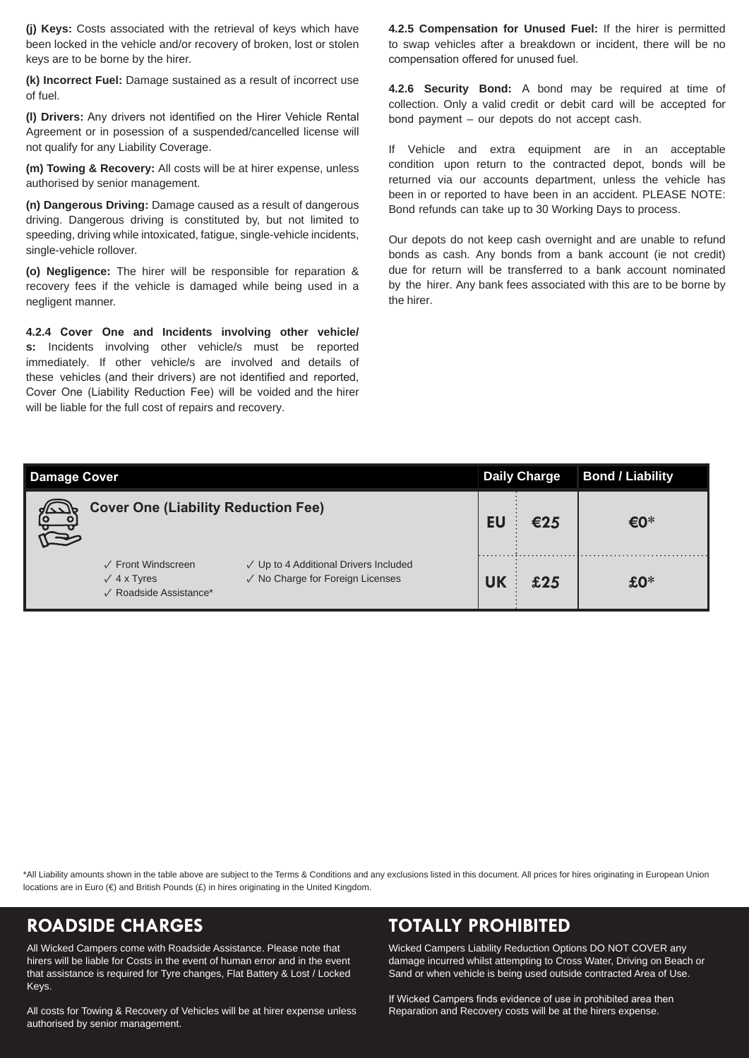**(j) Keys:** Costs associated with the retrieval of keys which have been locked in the vehicle and/or recovery of broken, lost or stolen keys are to be borne by the hirer.

**(k) Incorrect Fuel:** Damage sustained as a result of incorrect use of fuel.

**(l) Drivers:** Any drivers not identified on the Hirer Vehicle Rental Agreement or in posession of a suspended/cancelled license will not qualify for any Liability Coverage.

**(m) Towing & Recovery:** All costs will be at hirer expense, unless authorised by senior management.

**(n) Dangerous Driving:** Damage caused as a result of dangerous driving. Dangerous driving is constituted by, but not limited to speeding, driving while intoxicated, fatigue, single-vehicle incidents, single-vehicle rollover.

**(o) Negligence:** The hirer will be responsible for reparation & recovery fees if the vehicle is damaged while being used in a negligent manner.

**4.2.4 Cover One and Incidents involving other vehicle/ s:** Incidents involving other vehicle/s must be reported immediately. If other vehicle/s are involved and details of these vehicles (and their drivers) are not identified and reported, Cover One (Liability Reduction Fee) will be voided and the hirer will be liable for the full cost of repairs and recovery.

**4.2.5 Compensation for Unused Fuel:** If the hirer is permitted to swap vehicles after a breakdown or incident, there will be no compensation offered for unused fuel.

**4.2.6 Security Bond:** A bond may be required at time of collection. Only a valid credit or debit card will be accepted for bond payment – our depots do not accept cash.

If Vehicle and extra equipment are in an acceptable condition upon return to the contracted depot, bonds will be returned via our accounts department, unless the vehicle has been in or reported to have been in an accident. PLEASE NOTE: Bond refunds can take up to 30 Working Days to process.

Our depots do not keep cash overnight and are unable to refund bonds as cash. Any bonds from a bank account (ie not credit) due for return will be transferred to a bank account nominated by the hirer. Any bank fees associated with this are to be borne by the hirer.

| <b>Damage Cover</b>                                                                                                                             | <b>Daily Charge</b> | <b>Bond / Liability</b> |
|-------------------------------------------------------------------------------------------------------------------------------------------------|---------------------|-------------------------|
| <b>Cover One (Liability Reduction Fee)</b>                                                                                                      | €25                 | €0*                     |
| √ Up to 4 Additional Drivers Included<br>✓ Front Windscreen<br>√ No Charge for Foreign Licenses<br>$\sqrt{4}$ x Tyres<br>√ Roadside Assistance* | £25                 | $£0*$                   |

\*All Liability amounts shown in the table above are subject to the Terms & Conditions and any exclusions listed in this document. All prices for hires originating in European Union locations are in Euro ( $\in$ ) and British Pounds (£) in hires originating in the United Kingdom.

All Wicked Campers come with Roadside Assistance. Please note that hirers will be liable for Costs in the event of human error and in the event that assistance is required for Tyre changes, Flat Battery & Lost / Locked Keys.

All costs for Towing & Recovery of Vehicles will be at hirer expense unless authorised by senior management.

## **ROADSIDE CHARGES TOTALLY PROHIBITED**

Wicked Campers Liability Reduction Options DO NOT COVER any damage incurred whilst attempting to Cross Water, Driving on Beach or Sand or when vehicle is being used outside contracted Area of Use.

If Wicked Campers finds evidence of use in prohibited area then Reparation and Recovery costs will be at the hirers expense.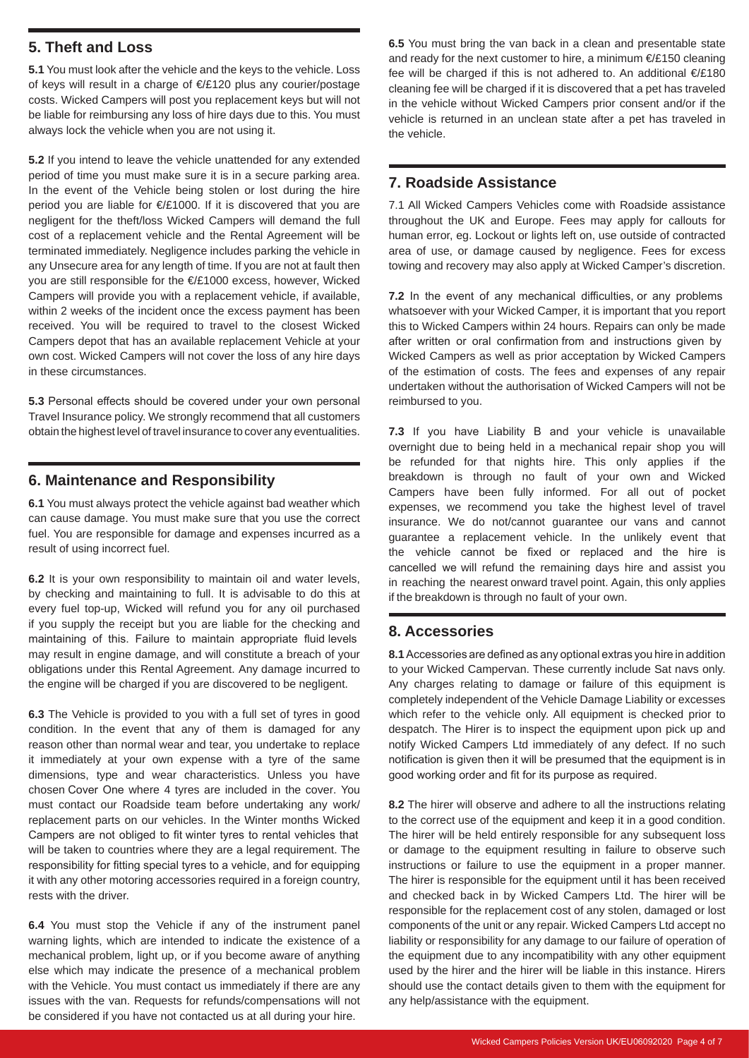#### **5. Theft and Loss**

**5.1** You must look after the vehicle and the keys to the vehicle. Loss of keys will result in a charge of €/£120 plus any courier/postage costs. Wicked Campers will post you replacement keys but will not be liable for reimbursing any loss of hire days due to this. You must always lock the vehicle when you are not using it.

**5.2** If you intend to leave the vehicle unattended for any extended period of time you must make sure it is in a secure parking area. In the event of the Vehicle being stolen or lost during the hire period you are liable for €/£1000. If it is discovered that you are negligent for the theft/loss Wicked Campers will demand the full cost of a replacement vehicle and the Rental Agreement will be terminated immediately. Negligence includes parking the vehicle in any Unsecure area for any length of time. If you are not at fault then you are still responsible for the €/£1000 excess, however, Wicked Campers will provide you with a replacement vehicle, if available, within 2 weeks of the incident once the excess payment has been received. You will be required to travel to the closest Wicked Campers depot that has an available replacement Vehicle at your own cost. Wicked Campers will not cover the loss of any hire days in these circumstances.

**5.3** Personal effects should be covered under your own personal Travel Insurance policy. We strongly recommend that all customers obtain the highest level of travel insurance to cover any eventualities.

#### **6. Maintenance and Responsibility**

**6.1** You must always protect the vehicle against bad weather which can cause damage. You must make sure that you use the correct fuel. You are responsible for damage and expenses incurred as a result of using incorrect fuel.

**6.2** It is your own responsibility to maintain oil and water levels, by checking and maintaining to full. It is advisable to do this at every fuel top-up, Wicked will refund you for any oil purchased if you supply the receipt but you are liable for the checking and maintaining of this. Failure to maintain appropriate fluid levels may result in engine damage, and will constitute a breach of your obligations under this Rental Agreement. Any damage incurred to the engine will be charged if you are discovered to be negligent.

**6.3** The Vehicle is provided to you with a full set of tyres in good condition. In the event that any of them is damaged for any reason other than normal wear and tear, you undertake to replace it immediately at your own expense with a tyre of the same dimensions, type and wear characteristics. Unless you have chosen Cover One where 4 tyres are included in the cover. You must contact our Roadside team before undertaking any work/ replacement parts on our vehicles. In the Winter months Wicked Campers are not obliged to fit winter tyres to rental vehicles that will be taken to countries where they are a legal requirement. The responsibility for fitting special tyres to a vehicle, and for equipping it with any other motoring accessories required in a foreign country, rests with the driver.

**6.4** You must stop the Vehicle if any of the instrument panel warning lights, which are intended to indicate the existence of a mechanical problem, light up, or if you become aware of anything else which may indicate the presence of a mechanical problem with the Vehicle. You must contact us immediately if there are any issues with the van. Requests for refunds/compensations will not be considered if you have not contacted us at all during your hire.

**6.5** You must bring the van back in a clean and presentable state and ready for the next customer to hire, a minimum €/£150 cleaning fee will be charged if this is not adhered to. An additional €/£180 cleaning fee will be charged if it is discovered that a pet has traveled in the vehicle without Wicked Campers prior consent and/or if the vehicle is returned in an unclean state after a pet has traveled in the vehicle.

#### **7. Roadside Assistance**

7.1 All Wicked Campers Vehicles come with Roadside assistance throughout the UK and Europe. Fees may apply for callouts for human error, eg. Lockout or lights left on, use outside of contracted area of use, or damage caused by negligence. Fees for excess towing and recovery may also apply at Wicked Camper's discretion.

**7.2** In the event of any mechanical difficulties, or any problems whatsoever with your Wicked Camper, it is important that you report this to Wicked Campers within 24 hours. Repairs can only be made after written or oral confirmation from and instructions given by Wicked Campers as well as prior acceptation by Wicked Campers of the estimation of costs. The fees and expenses of any repair undertaken without the authorisation of Wicked Campers will not be reimbursed to you.

**7.3** If you have Liability B and your vehicle is unavailable overnight due to being held in a mechanical repair shop you will be refunded for that nights hire. This only applies if the breakdown is through no fault of your own and Wicked Campers have been fully informed. For all out of pocket expenses, we recommend you take the highest level of travel insurance. We do not/cannot guarantee our vans and cannot guarantee a replacement vehicle. In the unlikely event that the vehicle cannot be fixed or replaced and the hire is cancelled we will refund the remaining days hire and assist you in reaching the nearest onward travel point. Again, this only applies if the breakdown is through no fault of your own.

#### **8. Accessories**

**8.1** Accessories are defined as any optional extras you hire in addition to your Wicked Campervan. These currently include Sat navs only. Any charges relating to damage or failure of this equipment is completely independent of the Vehicle Damage Liability or excesses which refer to the vehicle only. All equipment is checked prior to despatch. The Hirer is to inspect the equipment upon pick up and notify Wicked Campers Ltd immediately of any defect. If no such notification is given then it will be presumed that the equipment is in good working order and fit for its purpose as required.

**8.2** The hirer will observe and adhere to all the instructions relating to the correct use of the equipment and keep it in a good condition. The hirer will be held entirely responsible for any subsequent loss or damage to the equipment resulting in failure to observe such instructions or failure to use the equipment in a proper manner. The hirer is responsible for the equipment until it has been received and checked back in by Wicked Campers Ltd. The hirer will be responsible for the replacement cost of any stolen, damaged or lost components of the unit or any repair. Wicked Campers Ltd accept no liability or responsibility for any damage to our failure of operation of the equipment due to any incompatibility with any other equipment used by the hirer and the hirer will be liable in this instance. Hirers should use the contact details given to them with the equipment for any help/assistance with the equipment.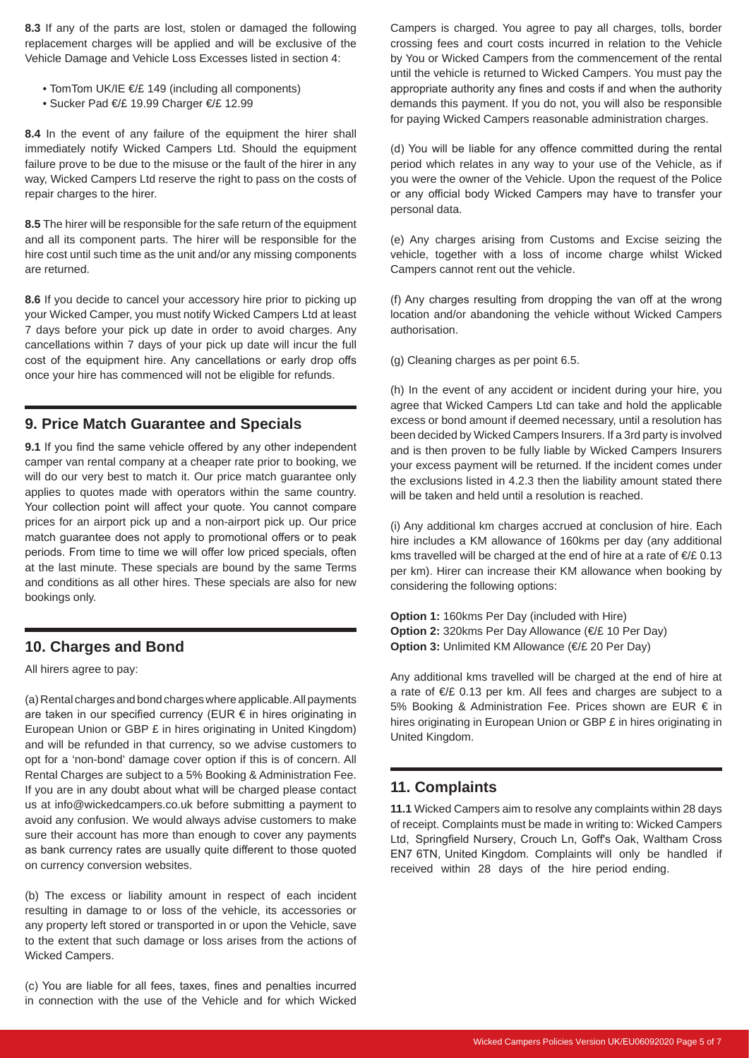**8.3** If any of the parts are lost, stolen or damaged the following replacement charges will be applied and will be exclusive of the Vehicle Damage and Vehicle Loss Excesses listed in section 4:

- TomTom UK/IE €/£ 149 (including all components)
- Sucker Pad €/£ 19.99 Charger €/£ 12.99

**8.4** In the event of any failure of the equipment the hirer shall immediately notify Wicked Campers Ltd. Should the equipment failure prove to be due to the misuse or the fault of the hirer in any way, Wicked Campers Ltd reserve the right to pass on the costs of repair charges to the hirer.

**8.5** The hirer will be responsible for the safe return of the equipment and all its component parts. The hirer will be responsible for the hire cost until such time as the unit and/or any missing components are returned.

**8.6** If you decide to cancel your accessory hire prior to picking up your Wicked Camper, you must notify Wicked Campers Ltd at least 7 days before your pick up date in order to avoid charges. Any cancellations within 7 days of your pick up date will incur the full cost of the equipment hire. Any cancellations or early drop offs once your hire has commenced will not be eligible for refunds.

#### **9. Price Match Guarantee and Specials**

**9.1** If you find the same vehicle offered by any other independent camper van rental company at a cheaper rate prior to booking, we will do our very best to match it. Our price match quarantee only applies to quotes made with operators within the same country. Your collection point will affect your quote. You cannot compare prices for an airport pick up and a non-airport pick up. Our price match guarantee does not apply to promotional offers or to peak periods. From time to time we will offer low priced specials, often at the last minute. These specials are bound by the same Terms and conditions as all other hires. These specials are also for new bookings only.

#### **10. Charges and Bond**

All hirers agree to pay:

(a) Rental charges and bond charges where applicable. All payments are taken in our specified currency (EUR € in hires originating in European Union or GBP £ in hires originating in United Kingdom) and will be refunded in that currency, so we advise customers to opt for a 'non-bond' damage cover option if this is of concern. All Rental Charges are subject to a 5% Booking & Administration Fee. If you are in any doubt about what will be charged please contact us at info@wickedcampers.co.uk before submitting a payment to avoid any confusion. We would always advise customers to make sure their account has more than enough to cover any payments as bank currency rates are usually quite different to those quoted on currency conversion websites.

(b) The excess or liability amount in respect of each incident resulting in damage to or loss of the vehicle, its accessories or any property left stored or transported in or upon the Vehicle, save to the extent that such damage or loss arises from the actions of Wicked Campers.

(c) You are liable for all fees, taxes, fines and penalties incurred in connection with the use of the Vehicle and for which Wicked Campers is charged. You agree to pay all charges, tolls, border crossing fees and court costs incurred in relation to the Vehicle by You or Wicked Campers from the commencement of the rental until the vehicle is returned to Wicked Campers. You must pay the appropriate authority any fines and costs if and when the authority demands this payment. If you do not, you will also be responsible for paying Wicked Campers reasonable administration charges.

(d) You will be liable for any offence committed during the rental period which relates in any way to your use of the Vehicle, as if you were the owner of the Vehicle. Upon the request of the Police or any official body Wicked Campers may have to transfer your personal data.

(e) Any charges arising from Customs and Excise seizing the vehicle, together with a loss of income charge whilst Wicked Campers cannot rent out the vehicle.

(f) Any charges resulting from dropping the van off at the wrong location and/or abandoning the vehicle without Wicked Campers authorisation.

(g) Cleaning charges as per point 6.5.

(h) In the event of any accident or incident during your hire, you agree that Wicked Campers Ltd can take and hold the applicable excess or bond amount if deemed necessary, until a resolution has been decided by Wicked Campers Insurers. If a 3rd party is involved and is then proven to be fully liable by Wicked Campers Insurers your excess payment will be returned. If the incident comes under the exclusions listed in 4.2.3 then the liability amount stated there will be taken and held until a resolution is reached.

(i) Any additional km charges accrued at conclusion of hire. Each hire includes a KM allowance of 160kms per day (any additional kms travelled will be charged at the end of hire at a rate of €/£ 0.13 per km). Hirer can increase their KM allowance when booking by considering the following options:

**Option 1:** 160kms Per Day (included with Hire) **Option 2:** 320kms Per Day Allowance (€/£ 10 Per Day) **Option 3: Unlimited KM Allowance (€/£ 20 Per Day)** 

Any additional kms travelled will be charged at the end of hire at a rate of €/£ 0.13 per km. All fees and charges are subject to a 5% Booking & Administration Fee. Prices shown are EUR € in hires originating in European Union or GBP £ in hires originating in United Kingdom.

### **11. Complaints**

**11.1** Wicked Campers aim to resolve any complaints within 28 days of receipt. Complaints must be made in writing to: Wicked Campers Ltd, Springfield Nursery, Crouch Ln, Goff's Oak, Waltham Cross EN7 6TN, United Kingdom. Complaints will only be handled if received within 28 days of the hire period ending.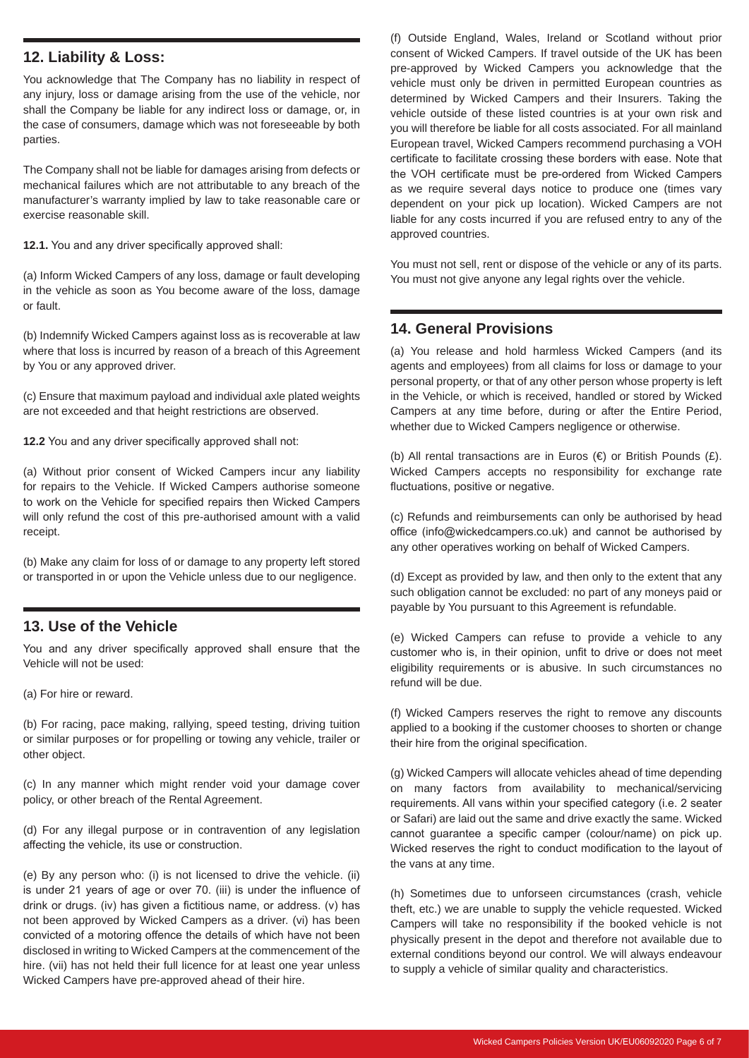#### **12. Liability & Loss:**

You acknowledge that The Company has no liability in respect of any injury, loss or damage arising from the use of the vehicle, nor shall the Company be liable for any indirect loss or damage, or, in the case of consumers, damage which was not foreseeable by both parties.

The Company shall not be liable for damages arising from defects or mechanical failures which are not attributable to any breach of the manufacturer's warranty implied by law to take reasonable care or exercise reasonable skill.

**12.1.** You and any driver specifically approved shall:

(a) Inform Wicked Campers of any loss, damage or fault developing in the vehicle as soon as You become aware of the loss, damage or fault.

(b) Indemnify Wicked Campers against loss as is recoverable at law where that loss is incurred by reason of a breach of this Agreement by You or any approved driver.

(c) Ensure that maximum payload and individual axle plated weights are not exceeded and that height restrictions are observed.

**12.2** You and any driver specifically approved shall not:

(a) Without prior consent of Wicked Campers incur any liability for repairs to the Vehicle. If Wicked Campers authorise someone to work on the Vehicle for specified repairs then Wicked Campers will only refund the cost of this pre-authorised amount with a valid receipt.

(b) Make any claim for loss of or damage to any property left stored or transported in or upon the Vehicle unless due to our negligence.

#### **13. Use of the Vehicle**

You and any driver specifically approved shall ensure that the Vehicle will not be used:

(a) For hire or reward.

(b) For racing, pace making, rallying, speed testing, driving tuition or similar purposes or for propelling or towing any vehicle, trailer or other object.

(c) In any manner which might render void your damage cover policy, or other breach of the Rental Agreement.

(d) For any illegal purpose or in contravention of any legislation affecting the vehicle, its use or construction.

(e) By any person who: (i) is not licensed to drive the vehicle. (ii) is under 21 years of age or over 70. (iii) is under the influence of drink or drugs. (iv) has given a fictitious name, or address. (v) has not been approved by Wicked Campers as a driver. (vi) has been convicted of a motoring offence the details of which have not been disclosed in writing to Wicked Campers at the commencement of the hire. (vii) has not held their full licence for at least one year unless Wicked Campers have pre-approved ahead of their hire.

(f) Outside England, Wales, Ireland or Scotland without prior consent of Wicked Campers. If travel outside of the UK has been pre-approved by Wicked Campers you acknowledge that the vehicle must only be driven in permitted European countries as determined by Wicked Campers and their Insurers. Taking the vehicle outside of these listed countries is at your own risk and you will therefore be liable for all costs associated. For all mainland European travel, Wicked Campers recommend purchasing a VOH certificate to facilitate crossing these borders with ease. Note that the VOH certificate must be pre-ordered from Wicked Campers as we require several days notice to produce one (times vary dependent on your pick up location). Wicked Campers are not liable for any costs incurred if you are refused entry to any of the approved countries.

You must not sell, rent or dispose of the vehicle or any of its parts. You must not give anyone any legal rights over the vehicle.

#### **14. General Provisions**

(a) You release and hold harmless Wicked Campers (and its agents and employees) from all claims for loss or damage to your personal property, or that of any other person whose property is left in the Vehicle, or which is received, handled or stored by Wicked Campers at any time before, during or after the Entire Period, whether due to Wicked Campers negligence or otherwise.

(b) All rental transactions are in Euros  $(\epsilon)$  or British Pounds  $(\epsilon)$ . Wicked Campers accepts no responsibility for exchange rate fluctuations, positive or negative.

(c) Refunds and reimbursements can only be authorised by head office (info@wickedcampers.co.uk) and cannot be authorised by any other operatives working on behalf of Wicked Campers.

(d) Except as provided by law, and then only to the extent that any such obligation cannot be excluded: no part of any moneys paid or payable by You pursuant to this Agreement is refundable.

(e) Wicked Campers can refuse to provide a vehicle to any customer who is, in their opinion, unfit to drive or does not meet eligibility requirements or is abusive. In such circumstances no refund will be due.

(f) Wicked Campers reserves the right to remove any discounts applied to a booking if the customer chooses to shorten or change their hire from the original specification.

(g) Wicked Campers will allocate vehicles ahead of time depending on many factors from availability to mechanical/servicing requirements. All vans within your specified category (i.e. 2 seater or Safari) are laid out the same and drive exactly the same. Wicked cannot guarantee a specific camper (colour/name) on pick up. Wicked reserves the right to conduct modification to the layout of the vans at any time.

(h) Sometimes due to unforseen circumstances (crash, vehicle theft, etc.) we are unable to supply the vehicle requested. Wicked Campers will take no responsibility if the booked vehicle is not physically present in the depot and therefore not available due to external conditions beyond our control. We will always endeavour to supply a vehicle of similar quality and characteristics.